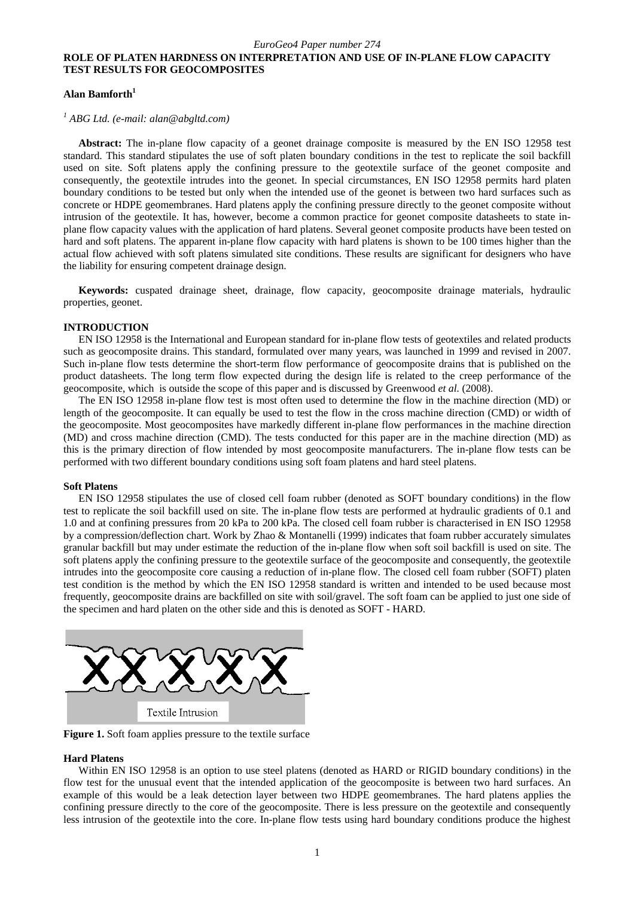# **ROLE OF PLATEN HARDNESS ON INTERPRETATION AND USE OF IN-PLANE FLOW CAPACITY TEST RESULTS FOR GEOCOMPOSITES**

## **Alan Bamforth<sup>1</sup>**

*1 ABG Ltd. (e-mail: alan@abgltd.com)* 

**Abstract:** The in-plane flow capacity of a geonet drainage composite is measured by the EN ISO 12958 test standard. This standard stipulates the use of soft platen boundary conditions in the test to replicate the soil backfill used on site. Soft platens apply the confining pressure to the geotextile surface of the geonet composite and consequently, the geotextile intrudes into the geonet. In special circumstances, EN ISO 12958 permits hard platen boundary conditions to be tested but only when the intended use of the geonet is between two hard surfaces such as concrete or HDPE geomembranes. Hard platens apply the confining pressure directly to the geonet composite without intrusion of the geotextile. It has, however, become a common practice for geonet composite datasheets to state inplane flow capacity values with the application of hard platens. Several geonet composite products have been tested on hard and soft platens. The apparent in-plane flow capacity with hard platens is shown to be 100 times higher than the actual flow achieved with soft platens simulated site conditions. These results are significant for designers who have the liability for ensuring competent drainage design.

**Keywords:** cuspated drainage sheet, drainage, flow capacity, geocomposite drainage materials, hydraulic properties, geonet.

## **INTRODUCTION**

EN ISO 12958 is the International and European standard for in-plane flow tests of geotextiles and related products such as geocomposite drains. This standard, formulated over many years, was launched in 1999 and revised in 2007. Such in-plane flow tests determine the short-term flow performance of geocomposite drains that is published on the product datasheets. The long term flow expected during the design life is related to the creep performance of the geocomposite, which is outside the scope of this paper and is discussed by Greenwood *et al.* (2008).

The EN ISO 12958 in-plane flow test is most often used to determine the flow in the machine direction (MD) or length of the geocomposite. It can equally be used to test the flow in the cross machine direction (CMD) or width of the geocomposite. Most geocomposites have markedly different in-plane flow performances in the machine direction (MD) and cross machine direction (CMD). The tests conducted for this paper are in the machine direction (MD) as this is the primary direction of flow intended by most geocomposite manufacturers. The in-plane flow tests can be performed with two different boundary conditions using soft foam platens and hard steel platens.

### **Soft Platens**

EN ISO 12958 stipulates the use of closed cell foam rubber (denoted as SOFT boundary conditions) in the flow test to replicate the soil backfill used on site. The in-plane flow tests are performed at hydraulic gradients of 0.1 and 1.0 and at confining pressures from 20 kPa to 200 kPa. The closed cell foam rubber is characterised in EN ISO 12958 by a compression/deflection chart. Work by Zhao & Montanelli (1999) indicates that foam rubber accurately simulates granular backfill but may under estimate the reduction of the in-plane flow when soft soil backfill is used on site. The soft platens apply the confining pressure to the geotextile surface of the geocomposite and consequently, the geotextile intrudes into the geocomposite core causing a reduction of in-plane flow. The closed cell foam rubber (SOFT) platen test condition is the method by which the EN ISO 12958 standard is written and intended to be used because most frequently, geocomposite drains are backfilled on site with soil/gravel. The soft foam can be applied to just one side of the specimen and hard platen on the other side and this is denoted as SOFT - HARD.



**Figure 1.** Soft foam applies pressure to the textile surface

#### **Hard Platens**

Within EN ISO 12958 is an option to use steel platens (denoted as HARD or RIGID boundary conditions) in the flow test for the unusual event that the intended application of the geocomposite is between two hard surfaces. An example of this would be a leak detection layer between two HDPE geomembranes. The hard platens applies the confining pressure directly to the core of the geocomposite. There is less pressure on the geotextile and consequently less intrusion of the geotextile into the core. In-plane flow tests using hard boundary conditions produce the highest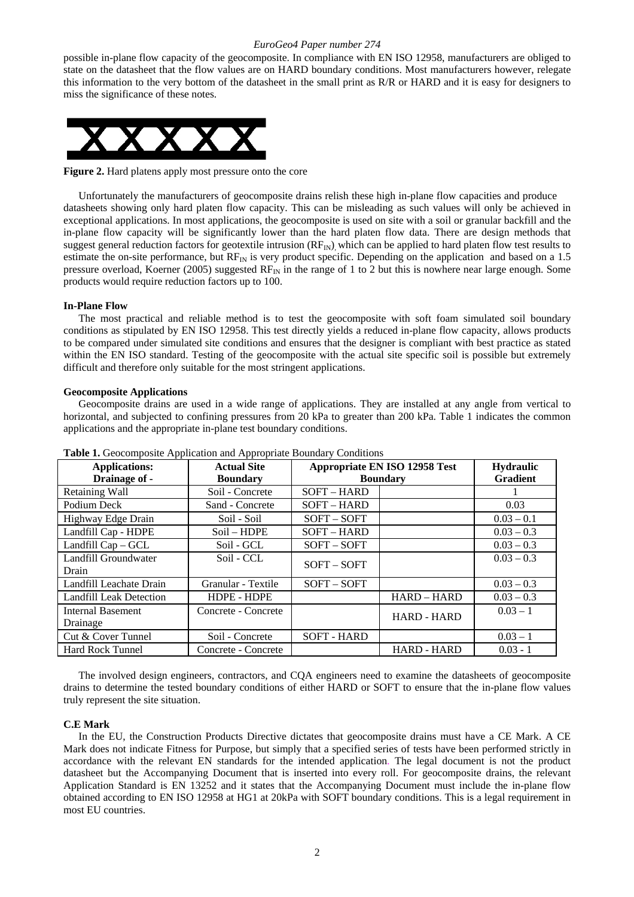possible in-plane flow capacity of the geocomposite. In compliance with EN ISO 12958, manufacturers are obliged to state on the datasheet that the flow values are on HARD boundary conditions. Most manufacturers however, relegate this information to the very bottom of the datasheet in the small print as R/R or HARD and it is easy for designers to miss the significance of these notes.



**Figure 2.** Hard platens apply most pressure onto the core

Unfortunately the manufacturers of geocomposite drains relish these high in-plane flow capacities and produce datasheets showing only hard platen flow capacity. This can be misleading as such values will only be achieved in exceptional applications. In most applications, the geocomposite is used on site with a soil or granular backfill and the in-plane flow capacity will be significantly lower than the hard platen flow data. There are design methods that suggest general reduction factors for geotextile intrusion  $(RF_N)$ , which can be applied to hard platen flow test results to estimate the on-site performance, but  $RF_{IN}$  is very product specific. Depending on the application and based on a 1.5 pressure overload, Koerner (2005) suggested  $RF_{IN}$  in the range of 1 to 2 but this is nowhere near large enough. Some products would require reduction factors up to 100.

### **In-Plane Flow**

The most practical and reliable method is to test the geocomposite with soft foam simulated soil boundary conditions as stipulated by EN ISO 12958. This test directly yields a reduced in-plane flow capacity, allows products to be compared under simulated site conditions and ensures that the designer is compliant with best practice as stated within the EN ISO standard. Testing of the geocomposite with the actual site specific soil is possible but extremely difficult and therefore only suitable for the most stringent applications.

### **Geocomposite Applications**

Geocomposite drains are used in a wide range of applications. They are installed at any angle from vertical to horizontal, and subjected to confining pressures from 20 kPa to greater than 200 kPa. Table 1 indicates the common applications and the appropriate in-plane test boundary conditions.

| <b>Table 1.</b> Ococomposite <i>i</i> replication and <i>i</i> repropriate Doundary Conditions |                                       |                                                  |                                     |              |  |  |
|------------------------------------------------------------------------------------------------|---------------------------------------|--------------------------------------------------|-------------------------------------|--------------|--|--|
| <b>Applications:</b><br>Drainage of -                                                          | <b>Actual Site</b><br><b>Boundary</b> | Appropriate EN ISO 12958 Test<br><b>Boundary</b> | <b>Hydraulic</b><br><b>Gradient</b> |              |  |  |
|                                                                                                |                                       |                                                  |                                     |              |  |  |
| Retaining Wall                                                                                 | Soil - Concrete                       | SOFT-HARD                                        |                                     |              |  |  |
| Podium Deck                                                                                    | Sand - Concrete                       | SOFT-HARD                                        |                                     | 0.03         |  |  |
| Highway Edge Drain                                                                             | Soil - Soil                           | $SOFT - SOFT$                                    |                                     | $0.03 - 0.1$ |  |  |
| Landfill Cap - HDPE                                                                            | Soil - HDPE                           | SOFT-HARD                                        |                                     | $0.03 - 0.3$ |  |  |
| Landfill Cap – GCL                                                                             | Soil - GCL                            | $SOFT - SOFT$                                    |                                     | $0.03 - 0.3$ |  |  |
| Landfill Groundwater                                                                           | Soil - CCL                            | $SOFT - SOFT$                                    |                                     | $0.03 - 0.3$ |  |  |
| Drain                                                                                          |                                       |                                                  |                                     |              |  |  |
| Landfill Leachate Drain                                                                        | Granular - Textile                    | $SOFT - SOFT$                                    |                                     | $0.03 - 0.3$ |  |  |
| <b>Landfill Leak Detection</b>                                                                 | <b>HDPE - HDPE</b>                    |                                                  | HARD - HARD                         | $0.03 - 0.3$ |  |  |
| <b>Internal Basement</b>                                                                       | Concrete - Concrete                   |                                                  |                                     | $0.03 - 1$   |  |  |
| Drainage                                                                                       |                                       |                                                  | <b>HARD - HARD</b>                  |              |  |  |
| Cut & Cover Tunnel                                                                             | Soil - Concrete                       | <b>SOFT - HARD</b>                               |                                     | $0.03 - 1$   |  |  |
| <b>Hard Rock Tunnel</b>                                                                        | Concrete - Concrete                   |                                                  | <b>HARD - HARD</b>                  | $0.03 - 1$   |  |  |

**Table 1.** Geocomposite Application and Appropriate Boundary Conditions

The involved design engineers, contractors, and CQA engineers need to examine the datasheets of geocomposite drains to determine the tested boundary conditions of either HARD or SOFT to ensure that the in-plane flow values truly represent the site situation.

### **C.E Mark**

In the EU, the Construction Products Directive dictates that geocomposite drains must have a CE Mark. A CE Mark does not indicate Fitness for Purpose, but simply that a specified series of tests have been performed strictly in accordance with the relevant EN standards for the intended application. The legal document is not the product datasheet but the Accompanying Document that is inserted into every roll. For geocomposite drains, the relevant Application Standard is EN 13252 and it states that the Accompanying Document must include the in-plane flow obtained according to EN ISO 12958 at HG1 at 20kPa with SOFT boundary conditions. This is a legal requirement in most EU countries.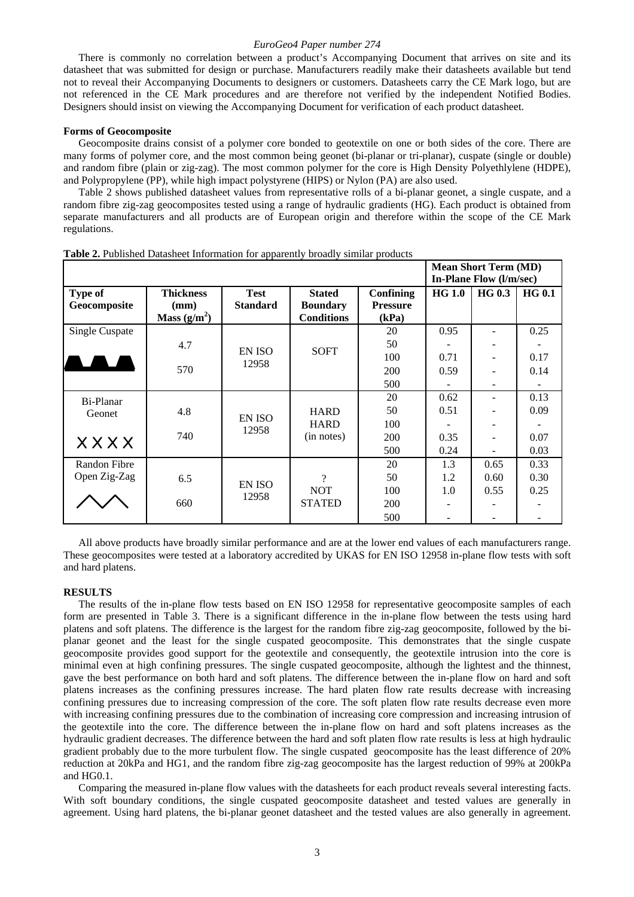There is commonly no correlation between a product's Accompanying Document that arrives on site and its datasheet that was submitted for design or purchase. Manufacturers readily make their datasheets available but tend not to reveal their Accompanying Documents to designers or customers. Datasheets carry the CE Mark logo, but are not referenced in the CE Mark procedures and are therefore not verified by the independent Notified Bodies. Designers should insist on viewing the Accompanying Document for verification of each product datasheet.

### **Forms of Geocomposite**

Geocomposite drains consist of a polymer core bonded to geotextile on one or both sides of the core. There are many forms of polymer core, and the most common being geonet (bi-planar or tri-planar), cuspate (single or double) and random fibre (plain or zig-zag). The most common polymer for the core is High Density Polyethlylene (HDPE), and Polypropylene (PP), while high impact polystyrene (HIPS) or Nylon (PA) are also used.

Table 2 shows published datasheet values from representative rolls of a bi-planar geonet, a single cuspate, and a random fibre zig-zag geocomposites tested using a range of hydraulic gradients (HG). Each product is obtained from separate manufacturers and all products are of European origin and therefore within the scope of the CE Mark regulations.

|                       |                  |                 |                   |                 | <b>Mean Short Term (MD)</b> |                              |               |      |      |
|-----------------------|------------------|-----------------|-------------------|-----------------|-----------------------------|------------------------------|---------------|------|------|
|                       |                  |                 |                   |                 | In-Plane Flow (l/m/sec)     |                              |               |      |      |
| Type of               | <b>Thickness</b> | <b>Test</b>     | <b>Stated</b>     | Confining       | <b>HG 1.0</b>               | <b>HG 0.3</b>                | <b>HG 0.1</b> |      |      |
| Geocomposite          | (mm)             | <b>Standard</b> | <b>Boundary</b>   | <b>Pressure</b> |                             |                              |               |      |      |
|                       | Mass $(g/m^2)$   |                 | <b>Conditions</b> | (kPa)           |                             |                              |               |      |      |
| <b>Single Cuspate</b> |                  |                 |                   | 20              | 0.95                        |                              | 0.25          |      |      |
|                       | 4.7              |                 |                   | 50              |                             |                              |               |      |      |
|                       |                  | EN ISO<br>12958 | <b>SOFT</b>       | 100             | 0.71                        |                              | 0.17          |      |      |
|                       | 570              |                 |                   | 200             | 0.59                        |                              | 0.14          |      |      |
|                       |                  |                 |                   | 500             |                             |                              |               |      |      |
| Bi-Planar             |                  |                 |                   | 20              | 0.62                        | $\qquad \qquad \blacksquare$ | 0.13          |      |      |
| Geonet                | 4.8              |                 | <b>HARD</b>       | 50              | 0.51                        |                              | 0.09          |      |      |
|                       |                  | EN ISO<br>12958 | <b>HARD</b>       | 100             |                             |                              |               |      |      |
| <b>XXXX</b>           | 740              |                 |                   |                 | (in notes)                  | 200                          | 0.35          |      | 0.07 |
|                       |                  |                 |                   | 500             | 0.24                        |                              | 0.03          |      |      |
| <b>Randon Fibre</b>   |                  |                 |                   | 20              | 1.3                         | 0.65                         | 0.33          |      |      |
| Open Zig-Zag          | 6.5              |                 | 9                 | 50              | 1.2                         | 0.60                         | 0.30          |      |      |
|                       |                  | EN ISO<br>12958 |                   | <b>NOT</b>      | 100                         | 1.0                          | 0.55          | 0.25 |      |
|                       | 660              |                 |                   | <b>STATED</b>   | 200                         |                              |               |      |      |
|                       |                  |                 |                   | 500             |                             |                              |               |      |      |

**Table 2.** Published Datasheet Information for apparently broadly similar products

All above products have broadly similar performance and are at the lower end values of each manufacturers range. These geocomposites were tested at a laboratory accredited by UKAS for EN ISO 12958 in-plane flow tests with soft and hard platens.

#### **RESULTS**

The results of the in-plane flow tests based on EN ISO 12958 for representative geocomposite samples of each form are presented in Table 3. There is a significant difference in the in-plane flow between the tests using hard platens and soft platens. The difference is the largest for the random fibre zig-zag geocomposite, followed by the biplanar geonet and the least for the single cuspated geocomposite. This demonstrates that the single cuspate geocomposite provides good support for the geotextile and consequently, the geotextile intrusion into the core is minimal even at high confining pressures. The single cuspated geocomposite, although the lightest and the thinnest, gave the best performance on both hard and soft platens. The difference between the in-plane flow on hard and soft platens increases as the confining pressures increase. The hard platen flow rate results decrease with increasing confining pressures due to increasing compression of the core. The soft platen flow rate results decrease even more with increasing confining pressures due to the combination of increasing core compression and increasing intrusion of the geotextile into the core. The difference between the in-plane flow on hard and soft platens increases as the hydraulic gradient decreases. The difference between the hard and soft platen flow rate results is less at high hydraulic gradient probably due to the more turbulent flow. The single cuspated geocomposite has the least difference of 20% reduction at 20kPa and HG1, and the random fibre zig-zag geocomposite has the largest reduction of 99% at 200kPa and HG0.1.

Comparing the measured in-plane flow values with the datasheets for each product reveals several interesting facts. With soft boundary conditions, the single cuspated geocomposite datasheet and tested values are generally in agreement. Using hard platens, the bi-planar geonet datasheet and the tested values are also generally in agreement.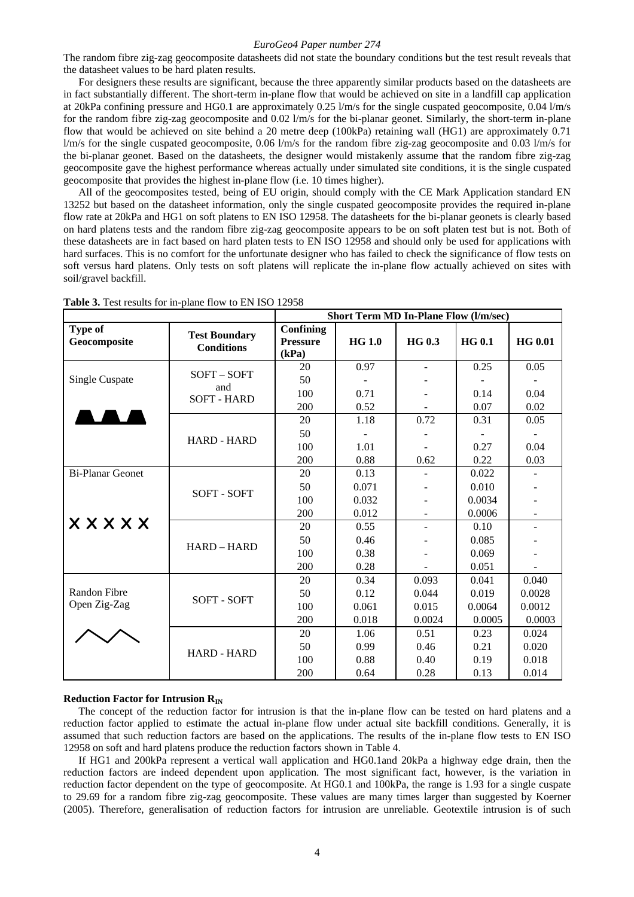The random fibre zig-zag geocomposite datasheets did not state the boundary conditions but the test result reveals that the datasheet values to be hard platen results.

For designers these results are significant, because the three apparently similar products based on the datasheets are in fact substantially different. The short-term in-plane flow that would be achieved on site in a landfill cap application at 20kPa confining pressure and HG0.1 are approximately 0.25 l/m/s for the single cuspated geocomposite, 0.04 l/m/s for the random fibre zig-zag geocomposite and  $0.02$  l/m/s for the bi-planar geonet. Similarly, the short-term in-plane flow that would be achieved on site behind a 20 metre deep (100kPa) retaining wall (HG1) are approximately 0.71 l/m/s for the single cuspated geocomposite, 0.06 l/m/s for the random fibre zig-zag geocomposite and 0.03 l/m/s for the bi-planar geonet. Based on the datasheets, the designer would mistakenly assume that the random fibre zig-zag geocomposite gave the highest performance whereas actually under simulated site conditions, it is the single cuspated geocomposite that provides the highest in-plane flow (i.e. 10 times higher).

All of the geocomposites tested, being of EU origin, should comply with the CE Mark Application standard EN 13252 but based on the datasheet information, only the single cuspated geocomposite provides the required in-plane flow rate at 20kPa and HG1 on soft platens to EN ISO 12958. The datasheets for the bi-planar geonets is clearly based on hard platens tests and the random fibre zig-zag geocomposite appears to be on soft platen test but is not. Both of these datasheets are in fact based on hard platen tests to EN ISO 12958 and should only be used for applications with hard surfaces. This is no comfort for the unfortunate designer who has failed to check the significance of flow tests on soft versus hard platens. Only tests on soft platens will replicate the in-plane flow actually achieved on sites with soil/gravel backfill.

|                         |                                           | <b>Short Term MD In-Plane Flow (l/m/sec)</b> |               |               |               |                              |  |
|-------------------------|-------------------------------------------|----------------------------------------------|---------------|---------------|---------------|------------------------------|--|
| Type of<br>Geocomposite | <b>Test Boundary</b><br><b>Conditions</b> | Confining<br><b>Pressure</b><br>(kPa)        | <b>HG 1.0</b> | <b>HG 0.3</b> | <b>HG 0.1</b> | <b>HG 0.01</b>               |  |
|                         | SOFT-SOFT                                 | 20                                           | 0.97          |               | 0.25          | 0.05                         |  |
| <b>Single Cuspate</b>   |                                           | 50                                           |               |               |               |                              |  |
|                         | and<br><b>SOFT - HARD</b>                 | 100                                          | 0.71          |               | 0.14          | 0.04                         |  |
|                         |                                           | 200                                          | 0.52          |               | 0.07          | 0.02                         |  |
|                         | <b>HARD - HARD</b>                        | 20                                           | 1.18          | 0.72          | 0.31          | 0.05                         |  |
|                         |                                           | 50                                           |               |               |               |                              |  |
|                         |                                           | 100                                          | 1.01          |               | 0.27          | 0.04                         |  |
|                         |                                           | 200                                          | 0.88          | 0.62          | 0.22          | 0.03                         |  |
| <b>Bi-Planar Geonet</b> | <b>SOFT - SOFT</b>                        | 20                                           | 0.13          |               | 0.022         |                              |  |
|                         |                                           | 50                                           | 0.071         |               | 0.010         |                              |  |
|                         |                                           | 100                                          | 0.032         |               | 0.0034        |                              |  |
|                         |                                           | 200                                          | 0.012         |               | 0.0006        | $\blacksquare$               |  |
| <b>XXXXX</b>            | <b>HARD - HARD</b>                        | 20                                           | 0.55          | ۰             | 0.10          | $\qquad \qquad \blacksquare$ |  |
|                         |                                           | 50                                           | 0.46          |               | 0.085         |                              |  |
|                         |                                           | 100                                          | 0.38          |               | 0.069         |                              |  |
|                         |                                           | 200                                          | 0.28          |               | 0.051         |                              |  |
|                         |                                           | 20                                           | 0.34          | 0.093         | 0.041         | 0.040                        |  |
| Randon Fibre            | SOFT - SOFT                               | 50                                           | 0.12          | 0.044         | 0.019         | 0.0028                       |  |
| Open Zig-Zag            |                                           | 100                                          | 0.061         | 0.015         | 0.0064        | 0.0012                       |  |
|                         |                                           | 200                                          | 0.018         | 0.0024        | 0.0005        | 0.0003                       |  |
|                         | <b>HARD - HARD</b>                        | 20                                           | 1.06          | 0.51          | 0.23          | 0.024                        |  |
|                         |                                           | 50                                           | 0.99          | 0.46          | 0.21          | 0.020                        |  |
|                         |                                           | 100                                          | 0.88          | 0.40          | 0.19          | 0.018                        |  |
|                         |                                           | 200                                          | 0.64          | 0.28          | 0.13          | 0.014                        |  |

**Table 3.** Test results for in-plane flow to EN ISO 12958

## **Reduction Factor for Intrusion R<sub>IN</sub>**

The concept of the reduction factor for intrusion is that the in-plane flow can be tested on hard platens and a reduction factor applied to estimate the actual in-plane flow under actual site backfill conditions. Generally, it is assumed that such reduction factors are based on the applications. The results of the in-plane flow tests to EN ISO 12958 on soft and hard platens produce the reduction factors shown in Table 4.

If HG1 and 200kPa represent a vertical wall application and HG0.1and 20kPa a highway edge drain, then the reduction factors are indeed dependent upon application. The most significant fact, however, is the variation in reduction factor dependent on the type of geocomposite. At HG0.1 and 100kPa, the range is 1.93 for a single cuspate to 29.69 for a random fibre zig-zag geocomposite. These values are many times larger than suggested by Koerner (2005). Therefore, generalisation of reduction factors for intrusion are unreliable. Geotextile intrusion is of such